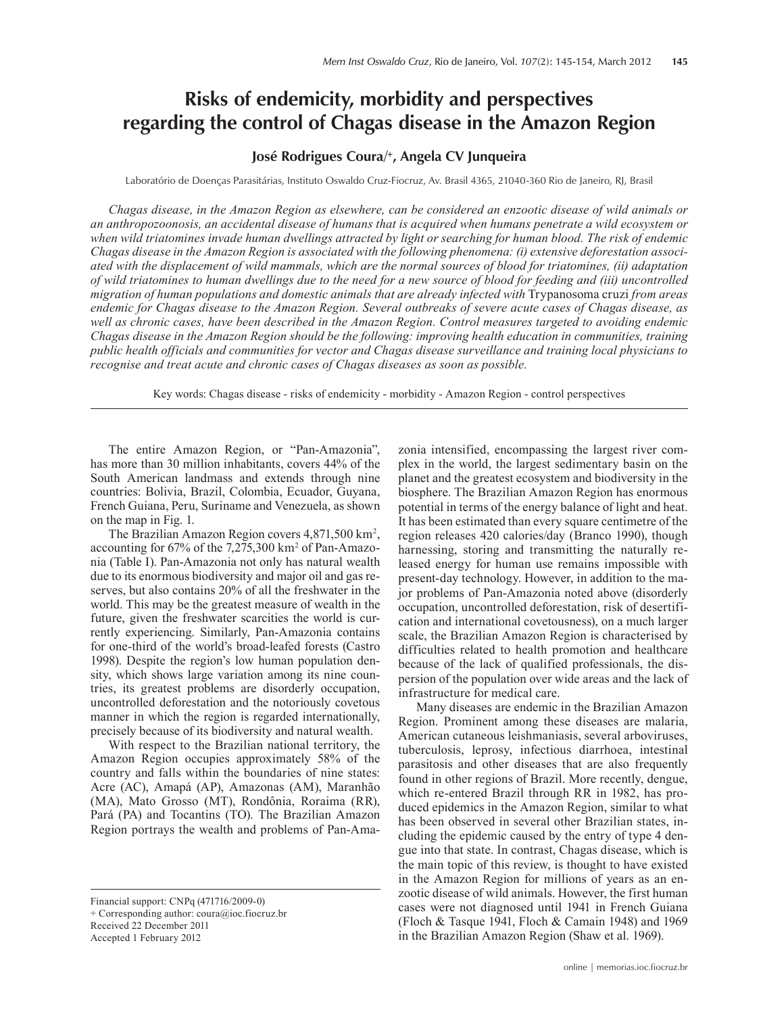## **Risks of endemicity, morbidity and perspectives regarding the control of Chagas disease in the Amazon Region**

## **José Rodrigues Coura/+, Angela CV Junqueira**

Laboratório de Doenças Parasitárias, Instituto Oswaldo Cruz-Fiocruz, Av. Brasil 4365, 21040-360 Rio de Janeiro, RJ, Brasil

*Chagas disease, in the Amazon Region as elsewhere, can be considered an enzootic disease of wild animals or an anthropozoonosis, an accidental disease of humans that is acquired when humans penetrate a wild ecosystem or when wild triatomines invade human dwellings attracted by light or searching for human blood. The risk of endemic Chagas disease in the Amazon Region is associated with the following phenomena: (i) extensive deforestation associated with the displacement of wild mammals, which are the normal sources of blood for triatomines, (ii) adaptation of wild triatomines to human dwellings due to the need for a new source of blood for feeding and (iii) uncontrolled migration of human populations and domestic animals that are already infected with* Trypanosoma cruzi *from areas endemic for Chagas disease to the Amazon Region. Several outbreaks of severe acute cases of Chagas disease, as well as chronic cases, have been described in the Amazon Region. Control measures targeted to avoiding endemic Chagas disease in the Amazon Region should be the following: improving health education in communities, training public health officials and communities for vector and Chagas disease surveillance and training local physicians to recognise and treat acute and chronic cases of Chagas diseases as soon as possible.*

Key words: Chagas disease - risks of endemicity - morbidity - Amazon Region - control perspectives

The entire Amazon Region, or "Pan-Amazonia", has more than 30 million inhabitants, covers 44% of the South American landmass and extends through nine countries: Bolivia, Brazil, Colombia, Ecuador, Guyana, French Guiana, Peru, Suriname and Venezuela, as shown on the map in Fig. 1.

The Brazilian Amazon Region covers 4,871,500 km<sup>2</sup>, accounting for 67% of the 7,275,300 km<sup>2</sup> of Pan-Amazonia (Table I). Pan-Amazonia not only has natural wealth due to its enormous biodiversity and major oil and gas reserves, but also contains 20% of all the freshwater in the world. This may be the greatest measure of wealth in the future, given the freshwater scarcities the world is currently experiencing. Similarly, Pan-Amazonia contains for one-third of the world's broad-leafed forests (Castro 1998). Despite the region's low human population density, which shows large variation among its nine countries, its greatest problems are disorderly occupation, uncontrolled deforestation and the notoriously covetous manner in which the region is regarded internationally, precisely because of its biodiversity and natural wealth.

With respect to the Brazilian national territory, the Amazon Region occupies approximately 58% of the country and falls within the boundaries of nine states: Acre (AC), Amapá (AP), Amazonas (AM), Maranhão (MA), Mato Grosso (MT), Rondônia, Roraima (RR), Pará (PA) and Tocantins (TO). The Brazilian Amazon Region portrays the wealth and problems of Pan-Ama-

Accepted 1 February 2012

zonia intensified, encompassing the largest river complex in the world, the largest sedimentary basin on the planet and the greatest ecosystem and biodiversity in the biosphere. The Brazilian Amazon Region has enormous potential in terms of the energy balance of light and heat. It has been estimated than every square centimetre of the region releases 420 calories/day (Branco 1990), though harnessing, storing and transmitting the naturally released energy for human use remains impossible with present-day technology. However, in addition to the major problems of Pan-Amazonia noted above (disorderly occupation, uncontrolled deforestation, risk of desertification and international covetousness), on a much larger scale, the Brazilian Amazon Region is characterised by difficulties related to health promotion and healthcare because of the lack of qualified professionals, the dispersion of the population over wide areas and the lack of infrastructure for medical care.

Many diseases are endemic in the Brazilian Amazon Region. Prominent among these diseases are malaria, American cutaneous leishmaniasis, several arboviruses, tuberculosis, leprosy, infectious diarrhoea, intestinal parasitosis and other diseases that are also frequently found in other regions of Brazil. More recently, dengue, which re-entered Brazil through RR in 1982, has produced epidemics in the Amazon Region, similar to what has been observed in several other Brazilian states, including the epidemic caused by the entry of type 4 dengue into that state. In contrast, Chagas disease, which is the main topic of this review, is thought to have existed in the Amazon Region for millions of years as an enzootic disease of wild animals. However, the first human cases were not diagnosed until 1941 in French Guiana (Floch & Tasque 1941, Floch & Camain 1948) and 1969 in the Brazilian Amazon Region (Shaw et al. 1969).

Financial support: CNPq (471716/2009-0) + Corresponding author: coura@ioc.fiocruz.br Received 22 December 2011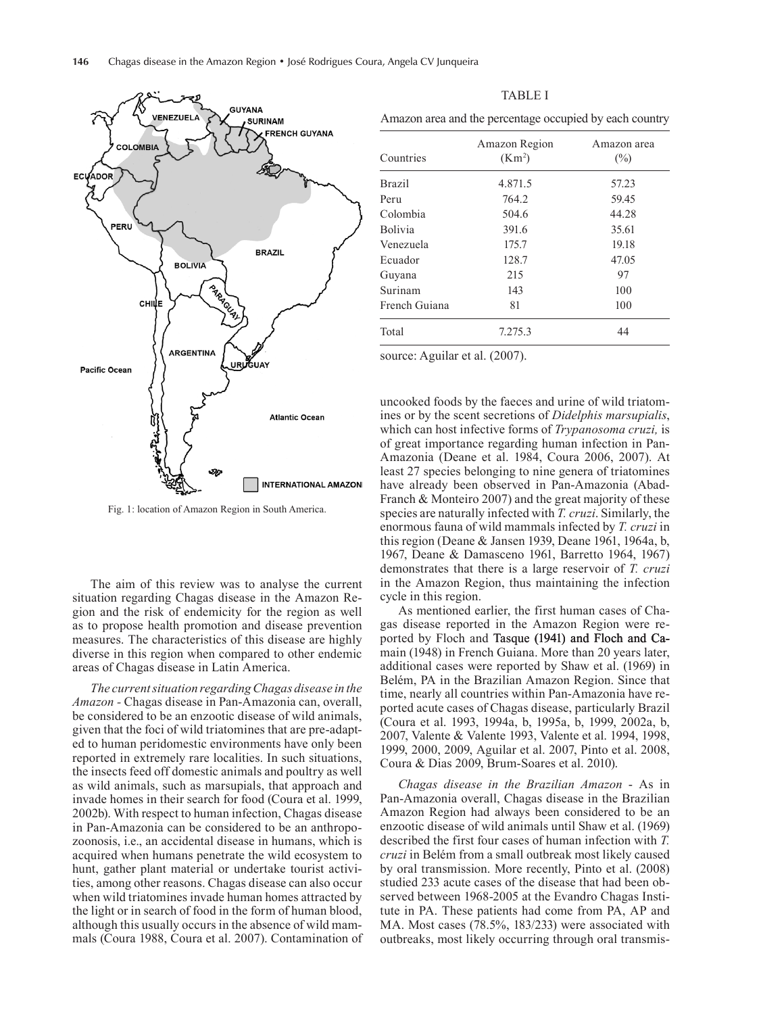

Fig. 1: location of Amazon Region in South America.

The aim of this review was to analyse the current situation regarding Chagas disease in the Amazon Region and the risk of endemicity for the region as well as to propose health promotion and disease prevention measures. The characteristics of this disease are highly diverse in this region when compared to other endemic areas of Chagas disease in Latin America.

*The current situation regarding Chagas disease in the Amazon -* Chagas disease in Pan-Amazonia can, overall, be considered to be an enzootic disease of wild animals, given that the foci of wild triatomines that are pre-adapted to human peridomestic environments have only been reported in extremely rare localities. In such situations, the insects feed off domestic animals and poultry as well as wild animals, such as marsupials, that approach and invade homes in their search for food (Coura et al. 1999, 2002b). With respect to human infection, Chagas disease in Pan-Amazonia can be considered to be an anthropozoonosis, i.e., an accidental disease in humans, which is acquired when humans penetrate the wild ecosystem to hunt, gather plant material or undertake tourist activities, among other reasons. Chagas disease can also occur when wild triatomines invade human homes attracted by the light or in search of food in the form of human blood, although this usually occurs in the absence of wild mammals (Coura 1988, Coura et al. 2007). Contamination of

TABLE I

Amazon area and the percentage occupied by each country

| Countries      | Amazon Region<br>(Km <sup>2</sup> ) | Amazon area<br>$(\%)$ |
|----------------|-------------------------------------|-----------------------|
| <b>Brazil</b>  | 4.871.5                             | 57.23                 |
| Peru           | 764.2                               | 59.45                 |
| Colombia       | 504.6                               | 44.28                 |
| <b>Bolivia</b> | 391.6                               | 35.61                 |
| Venezuela      | 175.7                               | 19.18                 |
| Ecuador        | 128.7                               | 47.05                 |
| Guyana         | 215                                 | 97                    |
| Surinam        | 143                                 | 100                   |
| French Guiana  | 81                                  | 100                   |
| Total          | 7.275.3                             | 44                    |

source: Aguilar et al. (2007).

uncooked foods by the faeces and urine of wild triatomines or by the scent secretions of *Didelphis marsupialis*, which can host infective forms of *Trypanosoma cruzi,* is of great importance regarding human infection in Pan-Amazonia (Deane et al. 1984, Coura 2006, 2007). At least 27 species belonging to nine genera of triatomines have already been observed in Pan-Amazonia (Abad-Franch & Monteiro 2007) and the great majority of these species are naturally infected with *T. cruzi*. Similarly, the enormous fauna of wild mammals infected by *T. cruzi* in this region (Deane & Jansen 1939, Deane 1961, 1964a, b, 1967, Deane & Damasceno 1961, Barretto 1964, 1967) demonstrates that there is a large reservoir of *T. cruzi*  in the Amazon Region, thus maintaining the infection cycle in this region.

As mentioned earlier, the first human cases of Chagas disease reported in the Amazon Region were reported by Floch and Tasque (1941) and Floch and Camain (1948) in French Guiana. More than 20 years later, additional cases were reported by Shaw et al. (1969) in Belém, PA in the Brazilian Amazon Region. Since that time, nearly all countries within Pan-Amazonia have reported acute cases of Chagas disease, particularly Brazil (Coura et al. 1993, 1994a, b, 1995a, b, 1999, 2002a, b, 2007, Valente & Valente 1993, Valente et al. 1994, 1998, 1999, 2000, 2009, Aguilar et al. 2007, Pinto et al. 2008, Coura & Dias 2009, Brum-Soares et al. 2010).

*Chagas disease in the Brazilian Amazon* - As in Pan-Amazonia overall, Chagas disease in the Brazilian Amazon Region had always been considered to be an enzootic disease of wild animals until Shaw et al. (1969) described the first four cases of human infection with *T. cruzi* in Belém from a small outbreak most likely caused by oral transmission. More recently, Pinto et al. (2008) studied 233 acute cases of the disease that had been observed between 1968-2005 at the Evandro Chagas Institute in PA. These patients had come from PA, AP and MA. Most cases (78.5%, 183/233) were associated with outbreaks, most likely occurring through oral transmis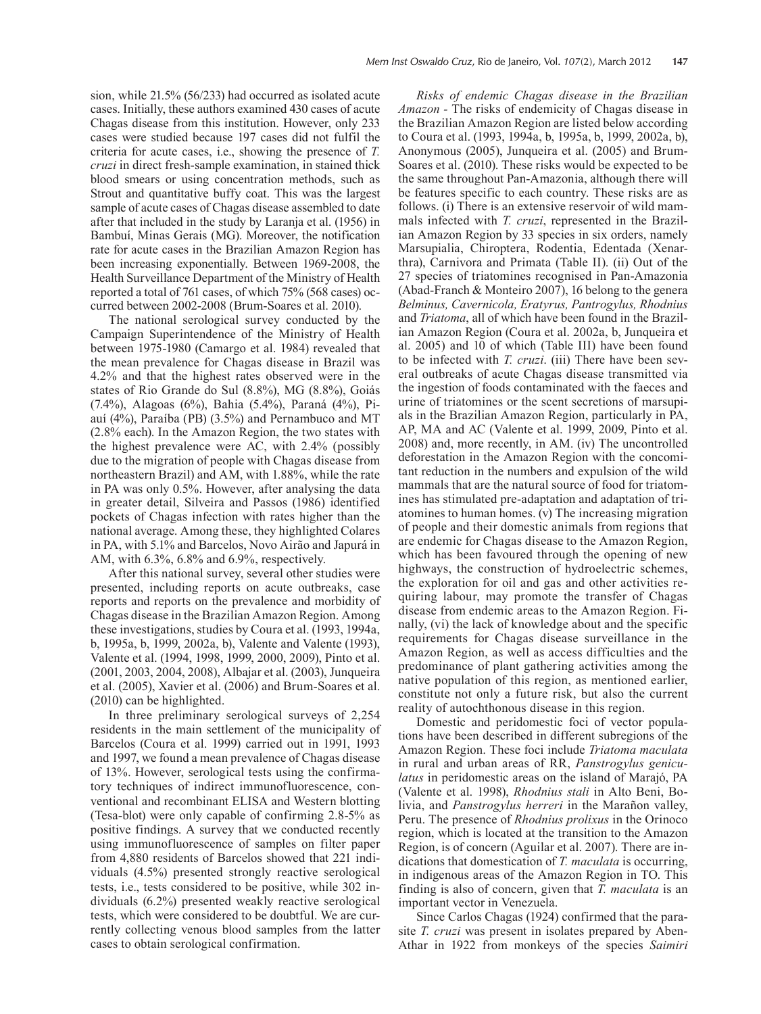sion, while 21.5% (56/233) had occurred as isolated acute cases. Initially, these authors examined 430 cases of acute Chagas disease from this institution. However, only 233 cases were studied because 197 cases did not fulfil the criteria for acute cases, i.e., showing the presence of *T. cruzi* in direct fresh-sample examination, in stained thick blood smears or using concentration methods, such as Strout and quantitative buffy coat. This was the largest sample of acute cases of Chagas disease assembled to date after that included in the study by Laranja et al. (1956) in Bambuí, Minas Gerais (MG). Moreover, the notification rate for acute cases in the Brazilian Amazon Region has been increasing exponentially. Between 1969-2008, the Health Surveillance Department of the Ministry of Health reported a total of 761 cases, of which 75% (568 cases) occurred between 2002-2008 (Brum-Soares et al. 2010).

The national serological survey conducted by the Campaign Superintendence of the Ministry of Health between 1975-1980 (Camargo et al. 1984) revealed that the mean prevalence for Chagas disease in Brazil was 4.2% and that the highest rates observed were in the states of Rio Grande do Sul (8.8%), MG (8.8%), Goiás (7.4%), Alagoas (6%), Bahia (5.4%), Paraná (4%), Piauí (4%), Paraíba (PB) (3.5%) and Pernambuco and MT (2.8% each). In the Amazon Region, the two states with the highest prevalence were AC, with 2.4% (possibly due to the migration of people with Chagas disease from northeastern Brazil) and AM, with 1.88%, while the rate in PA was only 0.5%. However, after analysing the data in greater detail, Silveira and Passos (1986) identified pockets of Chagas infection with rates higher than the national average. Among these, they highlighted Colares in PA, with 5.1% and Barcelos, Novo Airão and Japurá in AM, with 6.3%, 6.8% and 6.9%, respectively.

After this national survey, several other studies were presented, including reports on acute outbreaks, case reports and reports on the prevalence and morbidity of Chagas disease in the Brazilian Amazon Region. Among these investigations, studies by Coura et al. (1993, 1994a, b, 1995a, b, 1999, 2002a, b), Valente and Valente (1993), Valente et al. (1994, 1998, 1999, 2000, 2009), Pinto et al. (2001, 2003, 2004, 2008), Albajar et al. (2003), Junqueira et al. (2005), Xavier et al. (2006) and Brum-Soares et al. (2010) can be highlighted.

In three preliminary serological surveys of 2,254 residents in the main settlement of the municipality of Barcelos (Coura et al. 1999) carried out in 1991, 1993 and 1997, we found a mean prevalence of Chagas disease of 13%. However, serological tests using the confirmatory techniques of indirect immunofluorescence, conventional and recombinant ELISA and Western blotting (Tesa-blot) were only capable of confirming 2.8-5% as positive findings. A survey that we conducted recently using immunofluorescence of samples on filter paper from 4,880 residents of Barcelos showed that 221 individuals (4.5%) presented strongly reactive serological tests, i.e., tests considered to be positive, while 302 individuals (6.2%) presented weakly reactive serological tests, which were considered to be doubtful. We are currently collecting venous blood samples from the latter cases to obtain serological confirmation.

*Risks of endemic Chagas disease in the Brazilian Amazon -* The risks of endemicity of Chagas disease in the Brazilian Amazon Region are listed below according to Coura et al. (1993, 1994a, b, 1995a, b, 1999, 2002a, b), Anonymous (2005), Junqueira et al. (2005) and Brum-Soares et al. (2010). These risks would be expected to be the same throughout Pan-Amazonia, although there will be features specific to each country. These risks are as follows. (i) There is an extensive reservoir of wild mammals infected with *T. cruzi*, represented in the Brazilian Amazon Region by 33 species in six orders, namely Marsupialia, Chiroptera, Rodentia, Edentada (Xenarthra), Carnivora and Primata (Table II). (ii) Out of the 27 species of triatomines recognised in Pan-Amazonia (Abad-Franch & Monteiro 2007), 16 belong to the genera *Belminus, Cavernicola, Eratyrus, Pantrogylus, Rhodnius*  and *Triatoma*, all of which have been found in the Brazilian Amazon Region (Coura et al. 2002a, b, Junqueira et al. 2005) and 10 of which (Table III) have been found to be infected with *T. cruzi*. (iii) There have been several outbreaks of acute Chagas disease transmitted via the ingestion of foods contaminated with the faeces and urine of triatomines or the scent secretions of marsupials in the Brazilian Amazon Region, particularly in PA, AP, MA and AC (Valente et al. 1999, 2009, Pinto et al. 2008) and, more recently, in AM. (iv) The uncontrolled deforestation in the Amazon Region with the concomitant reduction in the numbers and expulsion of the wild mammals that are the natural source of food for triatomines has stimulated pre-adaptation and adaptation of triatomines to human homes. (v) The increasing migration of people and their domestic animals from regions that are endemic for Chagas disease to the Amazon Region, which has been favoured through the opening of new highways, the construction of hydroelectric schemes, the exploration for oil and gas and other activities requiring labour, may promote the transfer of Chagas disease from endemic areas to the Amazon Region. Finally, (vi) the lack of knowledge about and the specific requirements for Chagas disease surveillance in the Amazon Region, as well as access difficulties and the predominance of plant gathering activities among the native population of this region, as mentioned earlier, constitute not only a future risk, but also the current reality of autochthonous disease in this region.

Domestic and peridomestic foci of vector populations have been described in different subregions of the Amazon Region. These foci include *Triatoma maculata* in rural and urban areas of RR, *Panstrogylus geniculatus* in peridomestic areas on the island of Marajó, PA (Valente et al. 1998), *Rhodnius stali* in Alto Beni, Bolivia, and *Panstrogylus herreri* in the Marañon valley, Peru. The presence of *Rhodnius prolixus* in the Orinoco region, which is located at the transition to the Amazon Region, is of concern (Aguilar et al. 2007). There are indications that domestication of *T. maculata* is occurring, in indigenous areas of the Amazon Region in TO. This finding is also of concern, given that *T. maculata* is an important vector in Venezuela.

Since Carlos Chagas (1924) confirmed that the parasite *T. cruzi* was present in isolates prepared by Aben-Athar in 1922 from monkeys of the species *Saimiri*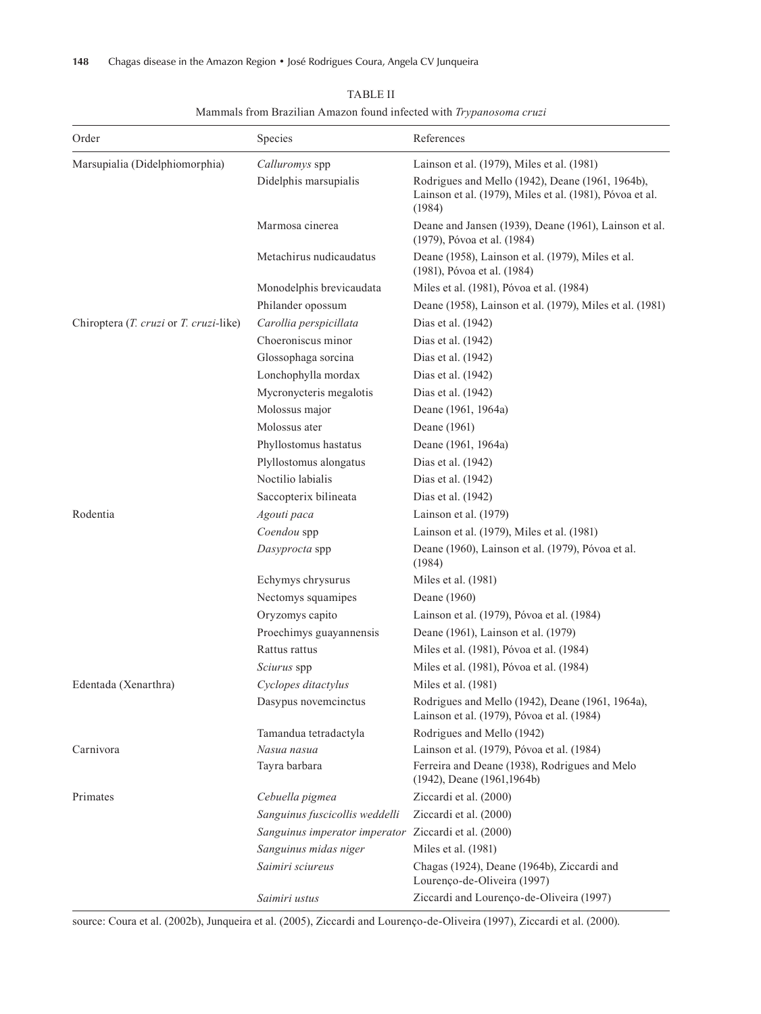| Order                                                  | Species                                 | References                                                                                                                                                           |
|--------------------------------------------------------|-----------------------------------------|----------------------------------------------------------------------------------------------------------------------------------------------------------------------|
| Marsupialia (Didelphiomorphia)                         | Calluromys spp<br>Didelphis marsupialis | Lainson et al. (1979), Miles et al. (1981)<br>Rodrigues and Mello (1942), Deane (1961, 1964b),<br>Lainson et al. (1979), Miles et al. (1981), Póvoa et al.<br>(1984) |
|                                                        | Marmosa cinerea                         | Deane and Jansen (1939), Deane (1961), Lainson et al.<br>(1979), Póvoa et al. (1984)                                                                                 |
|                                                        | Metachirus nudicaudatus                 | Deane (1958), Lainson et al. (1979), Miles et al.<br>(1981), Póvoa et al. (1984)                                                                                     |
|                                                        | Monodelphis brevicaudata                | Miles et al. (1981), Póvoa et al. (1984)                                                                                                                             |
|                                                        | Philander opossum                       | Deane (1958), Lainson et al. (1979), Miles et al. (1981)                                                                                                             |
| Chiroptera ( <i>T. cruzi</i> or <i>T. cruzi</i> -like) | Carollia perspicillata                  | Dias et al. (1942)                                                                                                                                                   |
|                                                        | Choeroniscus minor                      | Dias et al. (1942)                                                                                                                                                   |
|                                                        | Glossophaga sorcina                     | Dias et al. (1942)                                                                                                                                                   |
|                                                        | Lonchophylla mordax                     | Dias et al. (1942)                                                                                                                                                   |
|                                                        | Mycronycteris megalotis                 | Dias et al. (1942)                                                                                                                                                   |
|                                                        | Molossus major                          | Deane (1961, 1964a)                                                                                                                                                  |
|                                                        | Molossus ater                           | Deane (1961)                                                                                                                                                         |
|                                                        | Phyllostomus hastatus                   | Deane (1961, 1964a)                                                                                                                                                  |
|                                                        | Plyllostomus alongatus                  | Dias et al. (1942)                                                                                                                                                   |
|                                                        | Noctilio labialis                       | Dias et al. (1942)                                                                                                                                                   |
|                                                        | Saccopterix bilineata                   | Dias et al. (1942)                                                                                                                                                   |
| Rodentia                                               | Agouti paca                             | Lainson et al. (1979)                                                                                                                                                |
|                                                        | Coendou spp                             | Lainson et al. (1979), Miles et al. (1981)                                                                                                                           |
|                                                        | Dasyprocta spp                          | Deane (1960), Lainson et al. (1979), Póvoa et al.<br>(1984)                                                                                                          |
|                                                        | Echymys chrysurus                       | Miles et al. (1981)                                                                                                                                                  |
|                                                        | Nectomys squamipes                      | Deane (1960)                                                                                                                                                         |
|                                                        | Oryzomys capito                         | Lainson et al. (1979), Póvoa et al. (1984)                                                                                                                           |
|                                                        | Proechimys guayannensis                 | Deane (1961), Lainson et al. (1979)                                                                                                                                  |
|                                                        | Rattus rattus                           | Miles et al. (1981), Póvoa et al. (1984)                                                                                                                             |
|                                                        | <i>Sciurus</i> spp                      | Miles et al. (1981), Póvoa et al. (1984)                                                                                                                             |
| Edentada (Xenarthra)                                   | Cyclopes ditactylus                     | Miles et al. (1981)                                                                                                                                                  |
|                                                        | Dasypus novemeinctus                    | Rodrigues and Mello (1942), Deane (1961, 1964a),<br>Lainson et al. (1979), Póvoa et al. (1984)                                                                       |
|                                                        | Tamandua tetradactyla                   | Rodrigues and Mello (1942)                                                                                                                                           |
| Carnivora                                              | Nasua nasua                             | Lainson et al. (1979), Póvoa et al. (1984)                                                                                                                           |
|                                                        | Tayra barbara                           | Ferreira and Deane (1938), Rodrigues and Melo<br>(1942), Deane (1961, 1964b)                                                                                         |
| Primates                                               | Cebuella pigmea                         | Ziccardi et al. (2000)                                                                                                                                               |
|                                                        | Sanguinus fuscicollis weddelli          | Ziccardi et al. (2000)                                                                                                                                               |
|                                                        | Sanguinus imperator imperator           | Ziccardi et al. (2000)                                                                                                                                               |
|                                                        | Sanguinus midas niger                   | Miles et al. (1981)                                                                                                                                                  |
|                                                        | Saimiri sciureus                        | Chagas (1924), Deane (1964b), Ziccardi and<br>Lourenço-de-Oliveira (1997)                                                                                            |
|                                                        | Saimiri ustus                           | Ziccardi and Lourenço-de-Oliveira (1997)                                                                                                                             |

TABLE II Mammals from Brazilian Amazon found infected with *Trypanosoma cruzi*

source: Coura et al. (2002b), Junqueira et al. (2005), Ziccardi and Lourenço-de-Oliveira (1997), Ziccardi et al. (2000).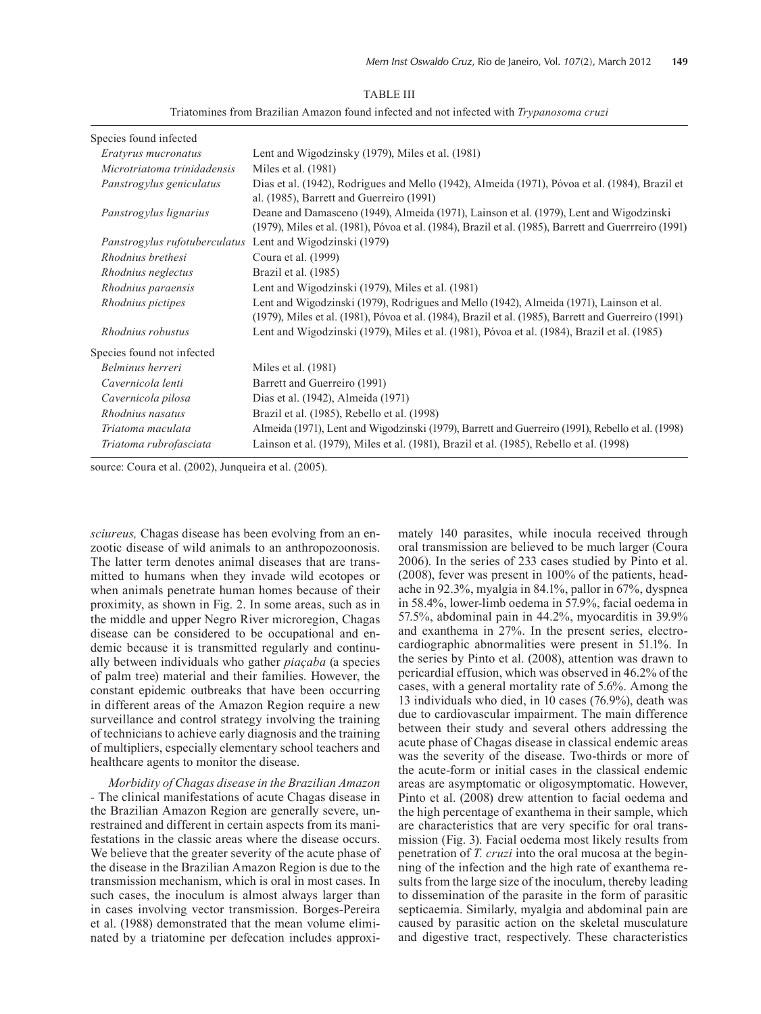| Species found infected        |                                                                                                                                                                                                                |
|-------------------------------|----------------------------------------------------------------------------------------------------------------------------------------------------------------------------------------------------------------|
| Eratyrus mucronatus           | Lent and Wigodzinsky (1979), Miles et al. (1981)                                                                                                                                                               |
| Microtriatoma trinidadensis   | Miles et al. (1981)                                                                                                                                                                                            |
| Panstrogylus geniculatus      | Dias et al. (1942), Rodrigues and Mello (1942), Almeida (1971), Póvoa et al. (1984), Brazil et<br>al. (1985), Barrett and Guerreiro (1991)                                                                     |
| Panstrogylus lignarius        | Deane and Damasceno (1949), Almeida (1971), Lainson et al. (1979), Lent and Wigodzinski<br>$(1979)$ , Miles et al. $(1981)$ , Póvoa et al. $(1984)$ , Brazil et al. $(1985)$ , Barrett and Guerrreiro $(1991)$ |
| Panstrogylus rufotuberculatus | Lent and Wigodzinski (1979)                                                                                                                                                                                    |
| Rhodnius brethesi             | Coura et al. (1999)                                                                                                                                                                                            |
| Rhodnius neglectus            | Brazil et al. (1985)                                                                                                                                                                                           |
| Rhodnius paraensis            | Lent and Wigodzinski (1979), Miles et al. (1981)                                                                                                                                                               |
| Rhodnius pictipes             | Lent and Wigodzinski (1979), Rodrigues and Mello (1942), Almeida (1971), Lainson et al.<br>$(1979)$ , Miles et al. $(1981)$ , Póvoa et al. $(1984)$ , Brazil et al. $(1985)$ , Barrett and Guerreiro $(1991)$  |
| Rhodnius robustus             | Lent and Wigodzinski (1979), Miles et al. (1981), Póvoa et al. (1984), Brazil et al. (1985)                                                                                                                    |
| Species found not infected    |                                                                                                                                                                                                                |
| Belminus herreri              | Miles et al. (1981)                                                                                                                                                                                            |
| Cavernicola lenti             | Barrett and Guerreiro (1991)                                                                                                                                                                                   |
| Cavernicola pilosa            | Dias et al. (1942), Almeida (1971)                                                                                                                                                                             |
| Rhodnius nasatus              | Brazil et al. (1985), Rebello et al. (1998)                                                                                                                                                                    |
| Triatoma maculata             | Almeida (1971), Lent and Wigodzinski (1979), Barrett and Guerreiro (1991), Rebello et al. (1998)                                                                                                               |
| Triatoma rubrofasciata        | Lainson et al. (1979), Miles et al. (1981), Brazil et al. (1985), Rebello et al. (1998)                                                                                                                        |

TABLE III Triatomines from Brazilian Amazon found infected and not infected with *Trypanosoma cruzi*

source: Coura et al. (2002), Junqueira et al. (2005).

*sciureus,* Chagas disease has been evolving from an enzootic disease of wild animals to an anthropozoonosis. The latter term denotes animal diseases that are transmitted to humans when they invade wild ecotopes or when animals penetrate human homes because of their proximity, as shown in Fig. 2. In some areas, such as in the middle and upper Negro River microregion, Chagas disease can be considered to be occupational and endemic because it is transmitted regularly and continually between individuals who gather *piaçaba* (a species of palm tree) material and their families. However, the constant epidemic outbreaks that have been occurring in different areas of the Amazon Region require a new surveillance and control strategy involving the training of technicians to achieve early diagnosis and the training of multipliers, especially elementary school teachers and healthcare agents to monitor the disease.

*Morbidity of Chagas disease in the Brazilian Amazon -* The clinical manifestations of acute Chagas disease in the Brazilian Amazon Region are generally severe, unrestrained and different in certain aspects from its manifestations in the classic areas where the disease occurs. We believe that the greater severity of the acute phase of the disease in the Brazilian Amazon Region is due to the transmission mechanism, which is oral in most cases. In such cases, the inoculum is almost always larger than in cases involving vector transmission. Borges-Pereira et al. (1988) demonstrated that the mean volume eliminated by a triatomine per defecation includes approximately 140 parasites, while inocula received through oral transmission are believed to be much larger (Coura 2006). In the series of 233 cases studied by Pinto et al. (2008), fever was present in 100% of the patients, headache in 92.3%, myalgia in 84.1%, pallor in 67%, dyspnea in 58.4%, lower-limb oedema in 57.9%, facial oedema in 57.5%, abdominal pain in 44.2%, myocarditis in 39.9% and exanthema in 27%. In the present series, electrocardiographic abnormalities were present in 51.1%. In the series by Pinto et al. (2008), attention was drawn to pericardial effusion, which was observed in 46.2% of the cases, with a general mortality rate of 5.6%. Among the 13 individuals who died, in 10 cases (76.9%), death was due to cardiovascular impairment. The main difference between their study and several others addressing the acute phase of Chagas disease in classical endemic areas was the severity of the disease. Two-thirds or more of the acute-form or initial cases in the classical endemic areas are asymptomatic or oligosymptomatic. However, Pinto et al. (2008) drew attention to facial oedema and the high percentage of exanthema in their sample, which are characteristics that are very specific for oral transmission (Fig. 3). Facial oedema most likely results from penetration of *T. cruzi* into the oral mucosa at the beginning of the infection and the high rate of exanthema results from the large size of the inoculum, thereby leading to dissemination of the parasite in the form of parasitic septicaemia. Similarly, myalgia and abdominal pain are caused by parasitic action on the skeletal musculature and digestive tract, respectively. These characteristics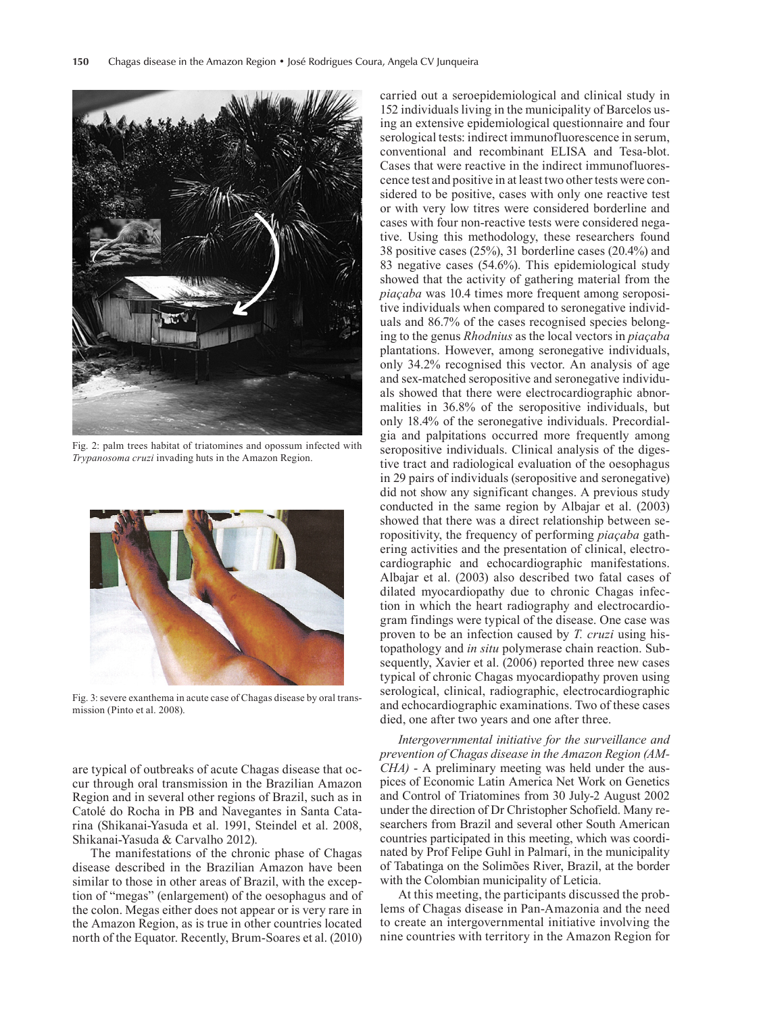

Fig. 2: palm trees habitat of triatomines and opossum infected with *Trypanosoma cruzi* invading huts in the Amazon Region.



Fig. 3: severe exanthema in acute case of Chagas disease by oral transmission (Pinto et al. 2008).

are typical of outbreaks of acute Chagas disease that occur through oral transmission in the Brazilian Amazon Region and in several other regions of Brazil, such as in Catolé do Rocha in PB and Navegantes in Santa Catarina (Shikanai-Yasuda et al. 1991, Steindel et al. 2008, Shikanai-Yasuda & Carvalho 2012).

The manifestations of the chronic phase of Chagas disease described in the Brazilian Amazon have been similar to those in other areas of Brazil, with the exception of "megas" (enlargement) of the oesophagus and of the colon. Megas either does not appear or is very rare in the Amazon Region, as is true in other countries located north of the Equator. Recently, Brum-Soares et al. (2010)

carried out a seroepidemiological and clinical study in 152 individuals living in the municipality of Barcelos using an extensive epidemiological questionnaire and four serological tests: indirect immunofluorescence in serum, conventional and recombinant ELISA and Tesa-blot. Cases that were reactive in the indirect immunofluorescence test and positive in at least two other tests were considered to be positive, cases with only one reactive test or with very low titres were considered borderline and cases with four non-reactive tests were considered negative. Using this methodology, these researchers found 38 positive cases (25%), 31 borderline cases (20.4%) and 83 negative cases (54.6%). This epidemiological study showed that the activity of gathering material from the *piaçaba* was 10.4 times more frequent among seropositive individuals when compared to seronegative individuals and 86.7% of the cases recognised species belonging to the genus *Rhodnius* as the local vectors in *piaçaba* plantations. However, among seronegative individuals, only 34.2% recognised this vector. An analysis of age and sex-matched seropositive and seronegative individuals showed that there were electrocardiographic abnormalities in 36.8% of the seropositive individuals, but only 18.4% of the seronegative individuals. Precordialgia and palpitations occurred more frequently among seropositive individuals. Clinical analysis of the digestive tract and radiological evaluation of the oesophagus in 29 pairs of individuals (seropositive and seronegative) did not show any significant changes. A previous study conducted in the same region by Albajar et al. (2003) showed that there was a direct relationship between seropositivity, the frequency of performing *piaçaba* gathering activities and the presentation of clinical, electrocardiographic and echocardiographic manifestations. Albajar et al. (2003) also described two fatal cases of dilated myocardiopathy due to chronic Chagas infection in which the heart radiography and electrocardiogram findings were typical of the disease. One case was proven to be an infection caused by *T. cruzi* using histopathology and *in situ* polymerase chain reaction. Subsequently, Xavier et al. (2006) reported three new cases typical of chronic Chagas myocardiopathy proven using serological, clinical, radiographic, electrocardiographic and echocardiographic examinations. Two of these cases died, one after two years and one after three.

*Intergovernmental initiative for the surveillance and prevention of Chagas disease in the Amazon Region (AM-CHA)* - A preliminary meeting was held under the auspices of Economic Latin America Net Work on Genetics and Control of Triatomines from 30 July-2 August 2002 under the direction of Dr Christopher Schofield. Many researchers from Brazil and several other South American countries participated in this meeting, which was coordinated by Prof Felipe Guhl in Palmarí, in the municipality of Tabatinga on the Solimões River, Brazil, at the border with the Colombian municipality of Leticia.

At this meeting, the participants discussed the problems of Chagas disease in Pan-Amazonia and the need to create an intergovernmental initiative involving the nine countries with territory in the Amazon Region for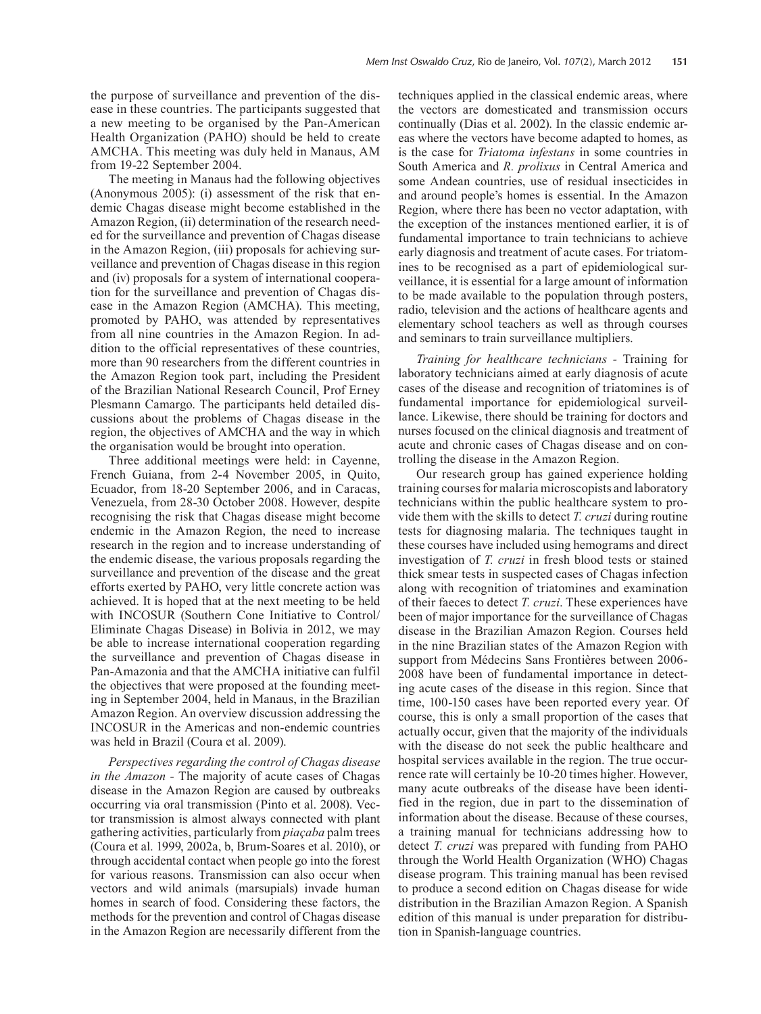the purpose of surveillance and prevention of the disease in these countries. The participants suggested that a new meeting to be organised by the Pan-American Health Organization (PAHO) should be held to create AMCHA. This meeting was duly held in Manaus, AM from 19-22 September 2004.

The meeting in Manaus had the following objectives (Anonymous 2005): (i) assessment of the risk that endemic Chagas disease might become established in the Amazon Region, (ii) determination of the research needed for the surveillance and prevention of Chagas disease in the Amazon Region, (iii) proposals for achieving surveillance and prevention of Chagas disease in this region and (iv) proposals for a system of international cooperation for the surveillance and prevention of Chagas disease in the Amazon Region (AMCHA). This meeting, promoted by PAHO, was attended by representatives from all nine countries in the Amazon Region. In addition to the official representatives of these countries, more than 90 researchers from the different countries in the Amazon Region took part, including the President of the Brazilian National Research Council, Prof Erney Plesmann Camargo. The participants held detailed discussions about the problems of Chagas disease in the region, the objectives of AMCHA and the way in which the organisation would be brought into operation.

Three additional meetings were held: in Cayenne, French Guiana, from 2-4 November 2005, in Quito, Ecuador, from 18-20 September 2006, and in Caracas, Venezuela, from 28-30 October 2008. However, despite recognising the risk that Chagas disease might become endemic in the Amazon Region, the need to increase research in the region and to increase understanding of the endemic disease, the various proposals regarding the surveillance and prevention of the disease and the great efforts exerted by PAHO, very little concrete action was achieved. It is hoped that at the next meeting to be held with INCOSUR (Southern Cone Initiative to Control/ Eliminate Chagas Disease) in Bolivia in 2012, we may be able to increase international cooperation regarding the surveillance and prevention of Chagas disease in Pan-Amazonia and that the AMCHA initiative can fulfil the objectives that were proposed at the founding meeting in September 2004, held in Manaus, in the Brazilian Amazon Region. An overview discussion addressing the INCOSUR in the Americas and non-endemic countries was held in Brazil (Coura et al. 2009).

*Perspectives regarding the control of Chagas disease in the Amazon -* The majority of acute cases of Chagas disease in the Amazon Region are caused by outbreaks occurring via oral transmission (Pinto et al. 2008). Vector transmission is almost always connected with plant gathering activities, particularly from *piaçaba* palm trees (Coura et al. 1999, 2002a, b, Brum-Soares et al. 2010), or through accidental contact when people go into the forest for various reasons. Transmission can also occur when vectors and wild animals (marsupials) invade human homes in search of food. Considering these factors, the methods for the prevention and control of Chagas disease in the Amazon Region are necessarily different from the techniques applied in the classical endemic areas, where the vectors are domesticated and transmission occurs continually (Dias et al. 2002). In the classic endemic areas where the vectors have become adapted to homes, as is the case for *Triatoma infestans* in some countries in South America and *R. prolixus* in Central America and some Andean countries, use of residual insecticides in and around people's homes is essential. In the Amazon Region, where there has been no vector adaptation, with the exception of the instances mentioned earlier, it is of fundamental importance to train technicians to achieve early diagnosis and treatment of acute cases. For triatomines to be recognised as a part of epidemiological surveillance, it is essential for a large amount of information to be made available to the population through posters, radio, television and the actions of healthcare agents and elementary school teachers as well as through courses and seminars to train surveillance multipliers.

*Training for healthcare technicians -* Training for laboratory technicians aimed at early diagnosis of acute cases of the disease and recognition of triatomines is of fundamental importance for epidemiological surveillance. Likewise, there should be training for doctors and nurses focused on the clinical diagnosis and treatment of acute and chronic cases of Chagas disease and on controlling the disease in the Amazon Region.

Our research group has gained experience holding training courses for malaria microscopists and laboratory technicians within the public healthcare system to provide them with the skills to detect *T. cruzi* during routine tests for diagnosing malaria. The techniques taught in these courses have included using hemograms and direct investigation of *T. cruzi* in fresh blood tests or stained thick smear tests in suspected cases of Chagas infection along with recognition of triatomines and examination of their faeces to detect *T. cruzi*. These experiences have been of major importance for the surveillance of Chagas disease in the Brazilian Amazon Region. Courses held in the nine Brazilian states of the Amazon Region with support from Médecins Sans Frontières between 2006- 2008 have been of fundamental importance in detecting acute cases of the disease in this region. Since that time, 100-150 cases have been reported every year. Of course, this is only a small proportion of the cases that actually occur, given that the majority of the individuals with the disease do not seek the public healthcare and hospital services available in the region. The true occurrence rate will certainly be 10-20 times higher. However, many acute outbreaks of the disease have been identified in the region, due in part to the dissemination of information about the disease. Because of these courses, a training manual for technicians addressing how to detect *T. cruzi* was prepared with funding from PAHO through the World Health Organization (WHO) Chagas disease program. This training manual has been revised to produce a second edition on Chagas disease for wide distribution in the Brazilian Amazon Region. A Spanish edition of this manual is under preparation for distribution in Spanish-language countries.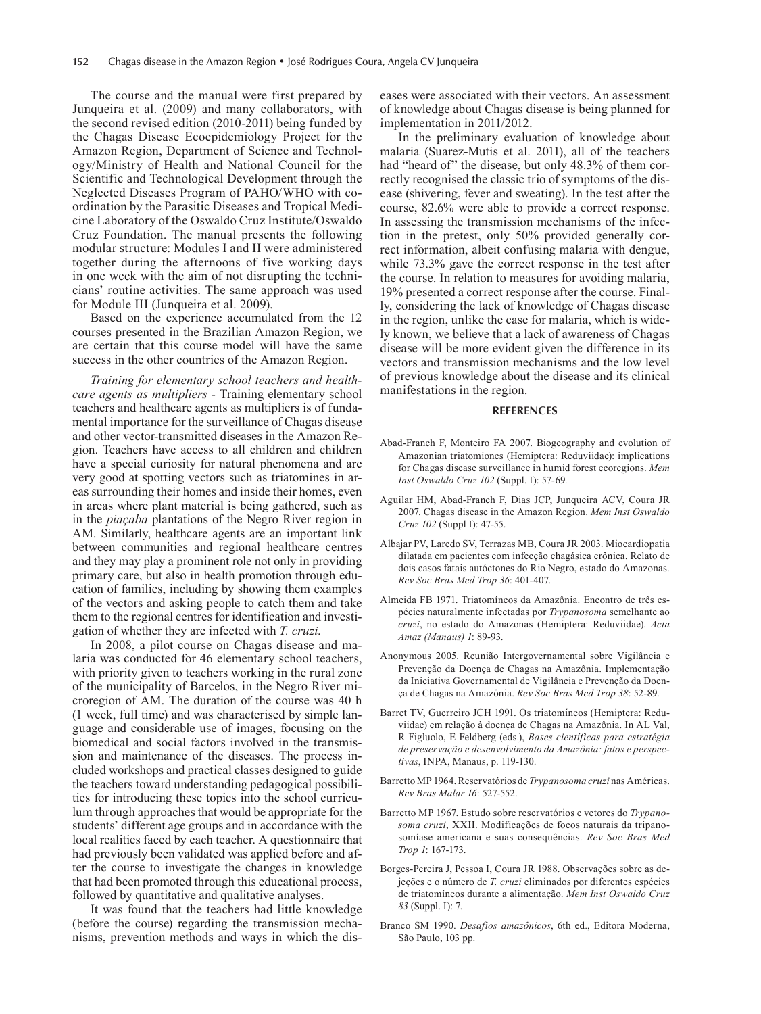The course and the manual were first prepared by Junqueira et al. (2009) and many collaborators, with the second revised edition (2010-2011) being funded by the Chagas Disease Ecoepidemiology Project for the Amazon Region, Department of Science and Technology/Ministry of Health and National Council for the Scientific and Technological Development through the Neglected Diseases Program of PAHO/WHO with coordination by the Parasitic Diseases and Tropical Medicine Laboratory of the Oswaldo Cruz Institute/Oswaldo Cruz Foundation. The manual presents the following modular structure: Modules I and II were administered together during the afternoons of five working days in one week with the aim of not disrupting the technicians' routine activities. The same approach was used for Module III (Junqueira et al. 2009).

Based on the experience accumulated from the 12 courses presented in the Brazilian Amazon Region, we are certain that this course model will have the same success in the other countries of the Amazon Region.

*Training for elementary school teachers and healthcare agents as multipliers -* Training elementary school teachers and healthcare agents as multipliers is of fundamental importance for the surveillance of Chagas disease and other vector-transmitted diseases in the Amazon Region. Teachers have access to all children and children have a special curiosity for natural phenomena and are very good at spotting vectors such as triatomines in areas surrounding their homes and inside their homes, even in areas where plant material is being gathered, such as in the *piaçaba* plantations of the Negro River region in AM. Similarly, healthcare agents are an important link between communities and regional healthcare centres and they may play a prominent role not only in providing primary care, but also in health promotion through education of families, including by showing them examples of the vectors and asking people to catch them and take them to the regional centres for identification and investigation of whether they are infected with *T. cruzi*.

In 2008, a pilot course on Chagas disease and malaria was conducted for 46 elementary school teachers, with priority given to teachers working in the rural zone of the municipality of Barcelos, in the Negro River microregion of AM. The duration of the course was 40 h (1 week, full time) and was characterised by simple language and considerable use of images, focusing on the biomedical and social factors involved in the transmission and maintenance of the diseases. The process included workshops and practical classes designed to guide the teachers toward understanding pedagogical possibilities for introducing these topics into the school curriculum through approaches that would be appropriate for the students' different age groups and in accordance with the local realities faced by each teacher. A questionnaire that had previously been validated was applied before and after the course to investigate the changes in knowledge that had been promoted through this educational process, followed by quantitative and qualitative analyses.

It was found that the teachers had little knowledge (before the course) regarding the transmission mechanisms, prevention methods and ways in which the diseases were associated with their vectors. An assessment of knowledge about Chagas disease is being planned for implementation in 2011/2012.

In the preliminary evaluation of knowledge about malaria (Suarez-Mutis et al. 2011), all of the teachers had "heard of" the disease, but only 48.3% of them correctly recognised the classic trio of symptoms of the disease (shivering, fever and sweating). In the test after the course, 82.6% were able to provide a correct response. In assessing the transmission mechanisms of the infection in the pretest, only 50% provided generally correct information, albeit confusing malaria with dengue, while 73.3% gave the correct response in the test after the course. In relation to measures for avoiding malaria, 19% presented a correct response after the course. Finally, considering the lack of knowledge of Chagas disease in the region, unlike the case for malaria, which is widely known, we believe that a lack of awareness of Chagas disease will be more evident given the difference in its vectors and transmission mechanisms and the low level of previous knowledge about the disease and its clinical manifestations in the region.

## **References**

- Abad-Franch F, Monteiro FA 2007. Biogeography and evolution of Amazonian triatomiones (Hemiptera: Reduviidae): implications for Chagas disease surveillance in humid forest ecoregions. *Mem Inst Oswaldo Cruz 102* (Suppl. I): 57-69.
- Aguilar HM, Abad-Franch F, Dias JCP, Junqueira ACV, Coura JR 2007. Chagas disease in the Amazon Region. *Mem Inst Oswaldo Cruz 102* (Suppl I): 47-55.
- Albajar PV, Laredo SV, Terrazas MB, Coura JR 2003. Miocardiopatia dilatada em pacientes com infecção chagásica crônica. Relato de dois casos fatais autóctones do Rio Negro, estado do Amazonas. *Rev Soc Bras Med Trop 36*: 401-407.
- Almeida FB 1971. Triatomíneos da Amazônia. Encontro de três espécies naturalmente infectadas por *Trypanosoma* semelhante ao *cruzi*, no estado do Amazonas (Hemiptera: Reduviidae). *Acta Amaz (Manaus) 1*: 89-93.
- Anonymous 2005. Reunião Intergovernamental sobre Vigilância e Prevenção da Doença de Chagas na Amazônia. Implementação da Iniciativa Governamental de Vigilância e Prevenção da Doença de Chagas na Amazônia. *Rev Soc Bras Med Trop 38*: 52-89.
- Barret TV, Guerreiro JCH 1991. Os triatomíneos (Hemiptera: Reduviidae) em relação à doença de Chagas na Amazônia. In AL Val, R Figluolo, E Feldberg (eds.), *Bases científicas para estratégia de preservação e desenvolvimento da Amazônia: fatos e perspectivas*, Inpa, Manaus, p. 119-130.
- Barretto MP 1964. Reservatórios de *Trypanosoma cruzi* nas Américas. *Rev Bras Malar 16*: 527-552.
- Barretto MP 1967. Estudo sobre reservatórios e vetores do *Trypanosoma cruzi*, XXII. Modificações de focos naturais da tripanosomíase americana e suas consequências. *Rev Soc Bras Med Trop 1*: 167-173.
- Borges-Pereira J, Pessoa I, Coura JR 1988. Observações sobre as dejeções e o número de *T. cruzi* eliminados por diferentes espécies de triatomíneos durante a alimentação. *Mem Inst Oswaldo Cruz 83* (Suppl. I): 7.
- Branco SM 1990. *Desafios amazônicos*, 6th ed., Editora Moderna, São Paulo, 103 pp.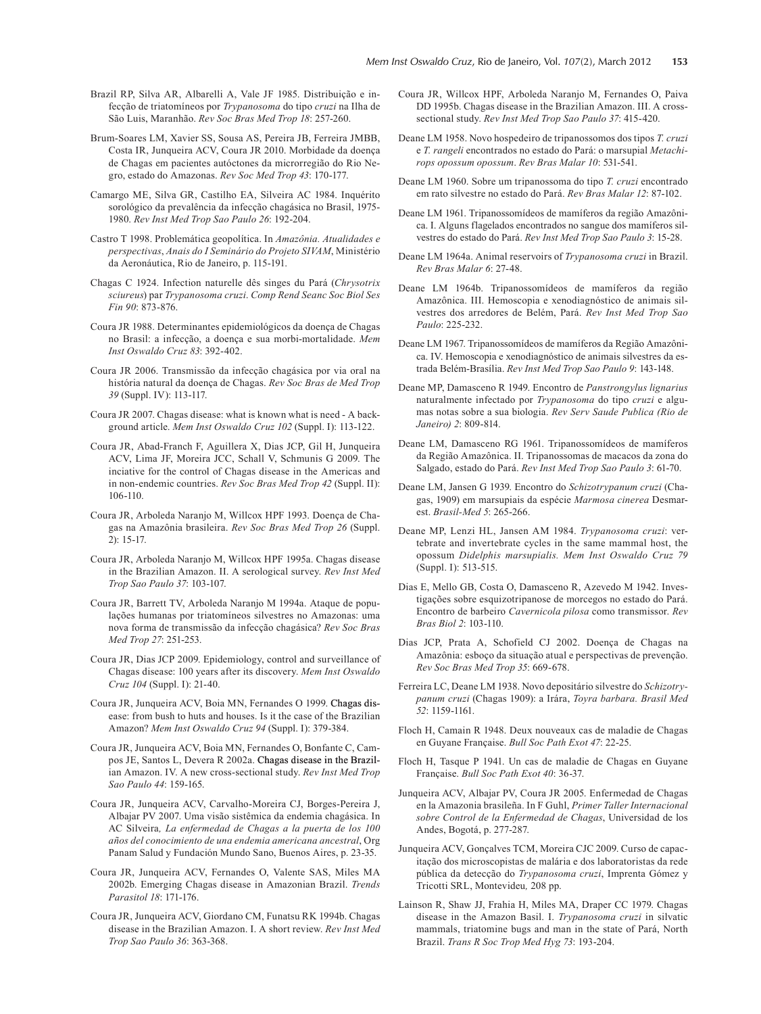- Brazil RP, Silva AR, Albarelli A, Vale JF 1985. Distribuição e infecção de triatomíneos por *Trypanosoma* do tipo *cruzi* na Ilha de São Luis, Maranhão. *Rev Soc Bras Med Trop 18*: 257-260.
- Brum-Soares LM, Xavier SS, Sousa AS, Pereira JB, Ferreira JMBB, Costa IR, Junqueira ACV, Coura JR 2010. Morbidade da doença de Chagas em pacientes autóctones da microrregião do Rio Negro, estado do Amazonas. *Rev Soc Med Trop 43*: 170-177.
- Camargo ME, Silva GR, Castilho EA, Silveira AC 1984. Inquérito sorológico da prevalência da infecção chagásica no Brasil, 1975- 1980. *Rev Inst Med Trop Sao Paulo 26*: 192-204.
- Castro T 1998. Problemática geopolítica. In *Amazônia. Atualidades e perspectivas*, *Anais do I Seminário do Projeto SIVAM*, Ministério da Aeronáutica, Rio de Janeiro, p. 115-191.
- Chagas C 1924. Infection naturelle dês singes du Pará (*Chrysotrix sciureus*) par *Trypanosoma cruzi*. *Comp Rend Seanc Soc Biol Ses Fin 90*: 873-876.
- Coura JR 1988. Determinantes epidemiológicos da doença de Chagas no Brasil: a infecção, a doença e sua morbi-mortalidade. *Mem Inst Oswaldo Cruz 83*: 392-402.
- Coura JR 2006. Transmissão da infecção chagásica por via oral na história natural da doença de Chagas. *Rev Soc Bras de Med Trop 39* (Suppl. IV): 113-117.
- Coura JR 2007. Chagas disease: what is known what is need A background article. *Mem Inst Oswaldo Cruz 102* (Suppl. I): 113-122.
- Coura JR, Abad-Franch F, Aguillera X, Dias JCP, Gil H, Junqueira ACV, Lima JF, Moreira JCC, Schall V, Schmunis G 2009. The inciative for the control of Chagas disease in the Americas and in non-endemic countries. *Rev Soc Bras Med Trop 42* (Suppl. II): 106-110.
- Coura JR, Arboleda Naranjo M, Willcox HPF 1993. Doença de Chagas na Amazônia brasileira. *Rev Soc Bras Med Trop 26* (Suppl. 2): 15-17.
- Coura JR, Arboleda Naranjo M, Willcox HPF 1995a. Chagas disease in the Brazilian Amazon. II. A serological survey. *Rev Inst Med Trop Sao Paulo 37*: 103-107.
- Coura JR, Barrett TV, Arboleda Naranjo M 1994a. Ataque de populações humanas por triatomíneos silvestres no Amazonas: uma nova forma de transmissão da infecção chagásica? *Rev Soc Bras Med Trop 27*: 251-253.
- Coura JR, Dias JCP 2009. Epidemiology, control and surveillance of Chagas disease: 100 years after its discovery. *Mem Inst Oswaldo Cruz 104* (Suppl. I): 21-40.
- Coura JR, Junqueira ACV, Boia MN, Fernandes O 1999. Chagas disease: from bush to huts and houses. Is it the case of the Brazilian Amazon? *Mem Inst Oswaldo Cruz 94* (Suppl. I): 379-384.
- Coura JR, Junqueira ACV, Boia MN, Fernandes O, Bonfante C, Campos JE, Santos L, Devera R 2002a. Chagas disease in the Brazilian Amazon. IV. A new cross-sectional study. *Rev Inst Med Trop Sao Paulo 44*: 159-165.
- Coura JR, Junqueira ACV, Carvalho-Moreira CJ, Borges-Pereira J, Albajar PV 2007. Uma visão sistêmica da endemia chagásica. In AC Silveira*, La enfermedad de Chagas a la puerta de los 100 años del conocimiento de una endemia americana ancestral*, Org Panam Salud y Fundación Mundo Sano, Buenos Aires, p. 23-35.
- Coura JR, Junqueira ACV, Fernandes O, Valente SAS, Miles MA 2002b. Emerging Chagas disease in Amazonian Brazil. *Trends Parasitol 18*: 171-176.
- Coura JR, Junqueira ACV, Giordano CM, Funatsu RK 1994b. Chagas disease in the Brazilian Amazon. I. A short review. *Rev Inst Med Trop Sao Paulo 36*: 363-368.
- Coura JR, Willcox HPF, Arboleda Naranjo M, Fernandes O, Paiva DD 1995b. Chagas disease in the Brazilian Amazon. III. A crosssectional study. *Rev Inst Med Trop Sao Paulo 37*: 415-420.
- Deane LM 1958. Novo hospedeiro de tripanossomos dos tipos *T. cruzi* e *T. rangeli* encontrados no estado do Pará: o marsupial *Metachirops opossum opossum*. *Rev Bras Malar 10*: 531-541.
- Deane LM 1960. Sobre um tripanossoma do tipo *T. cruzi* encontrado em rato silvestre no estado do Pará. *Rev Bras Malar 12*: 87-102.
- Deane LM 1961. Tripanossomídeos de mamíferos da região Amazônica. I. Alguns flagelados encontrados no sangue dos mamíferos silvestres do estado do Pará. *Rev Inst Med Trop Sao Paulo 3*: 15-28.
- Deane LM 1964a. Animal reservoirs of *Trypanosoma cruzi* in Brazil. *Rev Bras Malar 6*: 27-48.
- Deane LM 1964b. Tripanossomídeos de mamíferos da região Amazônica. III. Hemoscopia e xenodiagnóstico de animais silvestres dos arredores de Belém, Pará. *Rev Inst Med Trop Sao Paulo*: 225-232.
- Deane LM 1967. Tripanossomídeos de mamíferos da Região Amazônica. IV. Hemoscopia e xenodiagnóstico de animais silvestres da estrada Belém-Brasília. *Rev Inst Med Trop Sao Paulo 9*: 143-148.
- Deane MP, Damasceno R 1949. Encontro de *Panstrongylus lignarius* naturalmente infectado por *Trypanosoma* do tipo *cruzi* e algumas notas sobre a sua biologia. *Rev Serv Saude Publica (Rio de Janeiro) 2*: 809-814.
- Deane LM, Damasceno RG 1961. Tripanossomídeos de mamíferos da Região Amazônica. II. Tripanossomas de macacos da zona do Salgado, estado do Pará. *Rev Inst Med Trop Sao Paulo 3*: 61-70.
- Deane LM, Jansen G 1939. Encontro do *Schizotrypanum cruzi* (Chagas, 1909) em marsupiais da espécie *Marmosa cinerea* Desmarest. *Brasil-Med 5*: 265-266.
- Deane MP, Lenzi HL, Jansen AM 1984. *Trypanosoma cruzi*: vertebrate and invertebrate cycles in the same mammal host, the opossum *Didelphis marsupialis. Mem Inst Oswaldo Cruz 79*  (Suppl. I): 513-515.
- Dias E, Mello GB, Costa O, Damasceno R, Azevedo M 1942. Investigações sobre esquizotripanose de morcegos no estado do Pará. Encontro de barbeiro *Cavernicola pilosa* como transmissor. *Rev Bras Biol 2*: 103-110.
- Dias JCP, Prata A, Schofield CJ 2002. Doença de Chagas na Amazônia: esboço da situação atual e perspectivas de prevenção. *Rev Soc Bras Med Trop 35*: 669-678.
- Ferreira LC, Deane LM 1938. Novo depositário silvestre do *Schizotrypanum cruzi* (Chagas 1909): a Irára, *Toyra barbara. Brasil Med 52*: 1159-1161.
- Floch H, Camain R 1948. Deux nouveaux cas de maladie de Chagas en Guyane Française. *Bull Soc Path Exot 47*: 22-25.
- Floch H, Tasque P 1941. Un cas de maladie de Chagas en Guyane Française. *Bull Soc Path Exot 40*: 36-37.
- Junqueira ACV, Albajar PV, Coura JR 2005. Enfermedad de Chagas en la Amazonia brasileña. In F Guhl, *Primer Taller Internacional sobre control de la Enfermedad de Chagas*, Universidad de los Andes, Bogotá, p. 277-287.
- Junqueira ACV, Gonçalves TCM, Moreira CJC 2009. Curso de capacitação dos microscopistas de malária e dos laboratoristas da rede pública da detecção do *Trypanosoma cruzi*, Imprenta Gómez y Tricotti SRL, Montevideu*,* 208 pp.
- Lainson R, Shaw JJ, Frahia H, Miles MA, Draper CC 1979. Chagas disease in the Amazon Basil. I. *Trypanosoma cruzi* in silvatic mammals, triatomine bugs and man in the state of Pará, North Brazil. *Trans R Soc Trop Med Hyg 73*: 193-204.